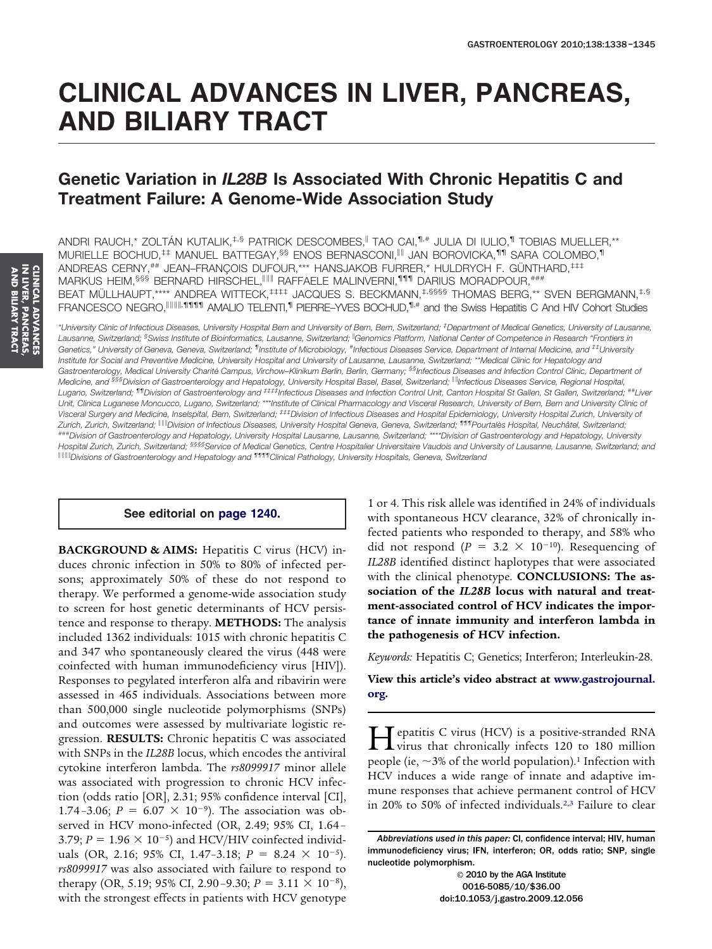# **CLINICAL ADVANCES IN LIVER, PANCREAS, AND BILIARY TRACT**

# **Genetic Variation in** *IL28B* **Is Associated With Chronic Hepatitis C and Treatment Failure: A Genome-Wide Association Study**

ANDRI RAUCH,\* ZOLTÁN KUTALIK,<sup>‡,§</sup> PATRICK DESCOMBES,<sup>||</sup> TAO CAI,<sup>¶,#</sup> JULIA DI IULIO,<sup>¶</sup> TOBIAS MUELLER,\*\* MURIELLE BOCHUD,<sup>‡‡</sup> MANUEL BATTEGAY,<sup>§§</sup> ENOS BERNASCONI,<sup>||||</sup> JAN BOROVICKA,<sup>111</sup> SARA COLOMBO,<sup>11</sup> ANDREAS CERNY,## JEAN-FRANÇOIS DUFOUR,\*\*\* HANSJAKOB FURRER,\* HULDRYCH F. GÜNTHARD,<sup>‡‡‡</sup> MARKUS HEIM,<sup>§§§</sup> BERNARD HIRSCHEL,<sup>IIIII</sup> RAFFAELE MALINVERNI,<sup>1111</sup>I DARIUS MORADPOUR,<sup>###</sup> BEAT MÜLLHAUPT,\*\*\*\* ANDREA WITTECK,<sup>‡‡‡‡</sup> JACQUES S. BECKMANN,<sup>‡,§§§§</sup> THOMAS BERG,\*\* SVEN BERGMANN,<sup>‡,§</sup> FRANCESCO NEGRO,<sup>||||||||</sup>,11111 AMALIO TELENTI,<sup>1</sup> PIERRE–YVES BOCHUD,<sup>11,#</sup> and the Swiss Hepatitis C And HIV Cohort Studies

*\*University Clinic of Infectious Diseases, University Hospital Bern and University of Bern, Bern, Switzerland; ‡ Department of Medical Genetics, University of Lausanne,* Lausanne, Switzerland; <sup>§</sup>Swiss Institute of Bioinformatics, Lausanne, Switzerland; <sup>||</sup>Genomics Platform, National Center of Competence in Research "Frontiers in Genetics," University of Geneva, Geneva, Switzerland; <sup>fi</sup>lnstitute of Microbiology, #Infectious Diseases Service, Department of Internal Medicine, and <sup>‡‡</sup>University *Institute for Social and Preventive Medicine, University Hospital and University of Lausanne, Lausanne, Switzerland; \*\*Medical Clinic for Hepatology and Gastroenterology, Medical University Charité Campus, Virchow–Klinikum Berlin, Berlin, Germany; §§Infectious Diseases and Infection Control Clinic, Department of Medicine, and §§§Division of Gastroenterology and Hepatology, University Hospital Basel, Basel, Switzerland; Infectious Diseases Service, Regional Hospital, Lugano, Switzerland; ¶¶Division of Gastroenterology and ‡‡‡‡Infectious Diseases and Infection Control Unit, Canton Hospital St Gallen, St Gallen, Switzerland; ##Liver Unit, Clinica Luganese Moncucco, Lugano, Switzerland; \*\*\*Institute of Clinical Pharmacology and Visceral Research, University of Bern, Bern and University Clinic of Visceral Surgery and Medicine, Inselspital, Bern, Switzerland; ‡‡‡Division of Infectious Diseases and Hospital Epidemiology, University Hospital Zurich, University of Zurich, Zurich, Switzerland; Division of Infectious Diseases, University Hospital Geneva, Geneva, Switzerland; ¶¶¶Pourtalès Hospital, Neuchâtel, Switzerland; ###Division of Gastroenterology and Hepatology, University Hospital Lausanne, Lausanne, Switzerland; \*\*\*\*Division of Gastroenterology and Hepatology, University Hospital Zurich, Zurich, Switzerland; §§§§Service of Medical Genetics, Centre Hospitalier Universitaire Vaudois and University of Lausanne, Lausanne, Switzerland; and Divisions of Gastroenterology and Hepatology and ¶¶¶¶Clinical Pathology, University Hospitals, Geneva, Switzerland*

## **See editorial on [page 1240.](http://linkinghub.elsevier.com/retrieve/pii/S0016508510002611)**

**BACKGROUND & AIMS:** Hepatitis C virus (HCV) induces chronic infection in 50% to 80% of infected persons; approximately 50% of these do not respond to therapy. We performed a genome-wide association study to screen for host genetic determinants of HCV persistence and response to therapy. **METHODS:** The analysis included 1362 individuals: 1015 with chronic hepatitis C and 347 who spontaneously cleared the virus (448 were coinfected with human immunodeficiency virus [HIV]). Responses to pegylated interferon alfa and ribavirin were assessed in 465 individuals. Associations between more than 500,000 single nucleotide polymorphisms (SNPs) and outcomes were assessed by multivariate logistic regression. **RESULTS:** Chronic hepatitis C was associated with SNPs in the *IL28B* locus, which encodes the antiviral cytokine interferon lambda. The *rs8099917* minor allele was associated with progression to chronic HCV infection (odds ratio [OR], 2.31; 95% confidence interval [CI], 1.74-3.06;  $P = 6.07 \times 10^{-9}$ ). The association was observed in HCV mono-infected (OR, 2.49; 95% CI, 1.64 – 3.79;  $P = 1.96 \times 10^{-5}$ ) and HCV/HIV coinfected individuals (OR, 2.16; 95% CI, 1.47-3.18;  $P = 8.24 \times 10^{-5}$ ). *rs8099917* was also associated with failure to respond to therapy (OR, 5.19; 95% CI, 2.90-9.30;  $P = 3.11 \times 10^{-8}$ ), with the strongest effects in patients with HCV genotype

1 or 4. This risk allele was identified in 24% of individuals with spontaneous HCV clearance, 32% of chronically infected patients who responded to therapy, and 58% who did not respond ( $P = 3.2 \times 10^{-10}$ ). Resequencing of *IL28B* identified distinct haplotypes that were associated with the clinical phenotype. **CONCLUSIONS: The association of the** *IL28B* **locus with natural and treatment-associated control of HCV indicates the importance of innate immunity and interferon lambda in the pathogenesis of HCV infection.**

*Keywords:* Hepatitis C; Genetics; Interferon; Interleukin-28.

**View this article's video abstract at [www.gastrojournal.](http://www.gastrojournal.org) [org.](http://www.gastrojournal.org)**

**H**epatitis C virus (HCV) is a positive-stranded RNA<br>virus that chronically infects 120 to 180 million<br>magnetic (i.e., 2% of the world negativize) Unfection with people (ie,  $\sim$ 3% of the world population).<sup>1</sup> Infection with HCV induces a wide range of innate and adaptive immune responses that achieve permanent control of HCV in 20% to 50% of infected individuals.2,3 Failure to clear

© 2010 by the AGA Institute 0016-5085/10/\$36.00 doi:10.1053/j.gastro.2009.12.056

*Abbreviations used in this paper:* CI, confidence interval; HIV, human immunodeficiency virus; IFN, interferon; OR, odds ratio; SNP, single nucleotide polymorphism.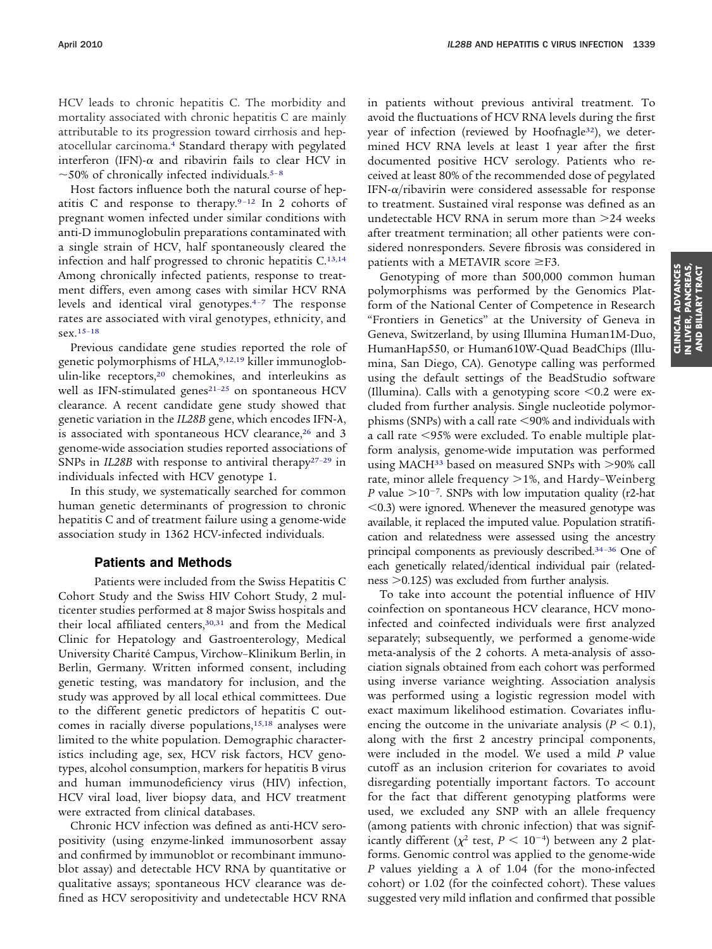HCV leads to chronic hepatitis C. The morbidity and mortality associated with chronic hepatitis C are mainly attributable to its progression toward cirrhosis and hepatocellular carcinoma.4 Standard therapy with pegylated interferon (IFN)- $\alpha$  and ribavirin fails to clear HCV in  $\sim$ 50% of chronically infected individuals.<sup>5-8</sup>

Host factors influence both the natural course of hepatitis C and response to therapy.9 –12 In 2 cohorts of pregnant women infected under similar conditions with anti-D immunoglobulin preparations contaminated with a single strain of HCV, half spontaneously cleared the infection and half progressed to chronic hepatitis C.13,14 Among chronically infected patients, response to treatment differs, even among cases with similar HCV RNA levels and identical viral genotypes.4–7 The response rates are associated with viral genotypes, ethnicity, and sex.15–18

Previous candidate gene studies reported the role of genetic polymorphisms of HLA, 9,12,19 killer immunoglobulin-like receptors,<sup>20</sup> chemokines, and interleukins as well as IFN-stimulated genes<sup>21-25</sup> on spontaneous HCV clearance. A recent candidate gene study showed that genetic variation in the *IL28B* gene, which encodes IFN-λ, is associated with spontaneous HCV clearance,<sup>26</sup> and 3 genome-wide association studies reported associations of SNPs in *IL28B* with response to antiviral therapy<sup>27-29</sup> in individuals infected with HCV genotype 1.

In this study, we systematically searched for common human genetic determinants of progression to chronic hepatitis C and of treatment failure using a genome-wide association study in 1362 HCV-infected individuals.

## **Patients and Methods**

Patients were included from the Swiss Hepatitis C Cohort Study and the Swiss HIV Cohort Study, 2 multicenter studies performed at 8 major Swiss hospitals and their local affiliated centers,30,31 and from the Medical Clinic for Hepatology and Gastroenterology, Medical University Charité Campus, Virchow–Klinikum Berlin, in Berlin, Germany. Written informed consent, including genetic testing, was mandatory for inclusion, and the study was approved by all local ethical committees. Due to the different genetic predictors of hepatitis C outcomes in racially diverse populations,<sup>15,18</sup> analyses were limited to the white population. Demographic characteristics including age, sex, HCV risk factors, HCV genotypes, alcohol consumption, markers for hepatitis B virus and human immunodeficiency virus (HIV) infection, HCV viral load, liver biopsy data, and HCV treatment were extracted from clinical databases.

Chronic HCV infection was defined as anti-HCV seropositivity (using enzyme-linked immunosorbent assay and confirmed by immunoblot or recombinant immunoblot assay) and detectable HCV RNA by quantitative or qualitative assays; spontaneous HCV clearance was defined as HCV seropositivity and undetectable HCV RNA in patients without previous antiviral treatment. To avoid the fluctuations of HCV RNA levels during the first year of infection (reviewed by Hoofnagle<sup>32</sup>), we determined HCV RNA levels at least 1 year after the first documented positive HCV serology. Patients who received at least 80% of the recommended dose of pegylated IFN- $\alpha$ /ribavirin were considered assessable for response to treatment. Sustained viral response was defined as an undetectable HCV RNA in serum more than 24 weeks after treatment termination; all other patients were considered nonresponders. Severe fibrosis was considered in patients with a METAVIR score  $\geq$ F3.

Genotyping of more than 500,000 common human polymorphisms was performed by the Genomics Platform of the National Center of Competence in Research "Frontiers in Genetics" at the University of Geneva in Geneva, Switzerland, by using Illumina Human1M-Duo, HumanHap550, or Human610W-Quad BeadChips (Illumina, San Diego, CA). Genotype calling was performed using the default settings of the BeadStudio software (Illumina). Calls with a genotyping score  $\leq 0.2$  were excluded from further analysis. Single nucleotide polymorphisms (SNPs) with a call rate <90% and individuals with a call rate 95% were excluded. To enable multiple platform analysis, genome-wide imputation was performed using MACH<sup>33</sup> based on measured SNPs with  $>$ 90% call rate, minor allele frequency >1%, and Hardy-Weinberg *P* value  $>10^{-7}$ . SNPs with low imputation quality (r2-hat  $(0.3)$  were ignored. Whenever the measured genotype was available, it replaced the imputed value. Population stratification and relatedness were assessed using the ancestry principal components as previously described.34–36 One of each genetically related/identical individual pair (relatedness  $>0.125$ ) was excluded from further analysis.

To take into account the potential influence of HIV coinfection on spontaneous HCV clearance, HCV monoinfected and coinfected individuals were first analyzed separately; subsequently, we performed a genome-wide meta-analysis of the 2 cohorts. A meta-analysis of association signals obtained from each cohort was performed using inverse variance weighting. Association analysis was performed using a logistic regression model with exact maximum likelihood estimation. Covariates influencing the outcome in the univariate analysis  $(P < 0.1)$ , along with the first 2 ancestry principal components, were included in the model. We used a mild *P* value cutoff as an inclusion criterion for covariates to avoid disregarding potentially important factors. To account for the fact that different genotyping platforms were used, we excluded any SNP with an allele frequency (among patients with chronic infection) that was significantly different ( $\chi^2$  test,  $P \leq 10^{-4}$ ) between any 2 platforms. Genomic control was applied to the genome-wide *P* values yielding a  $\lambda$  of 1.04 (for the mono-infected cohort) or 1.02 (for the coinfected cohort). These values suggested very mild inflation and confirmed that possible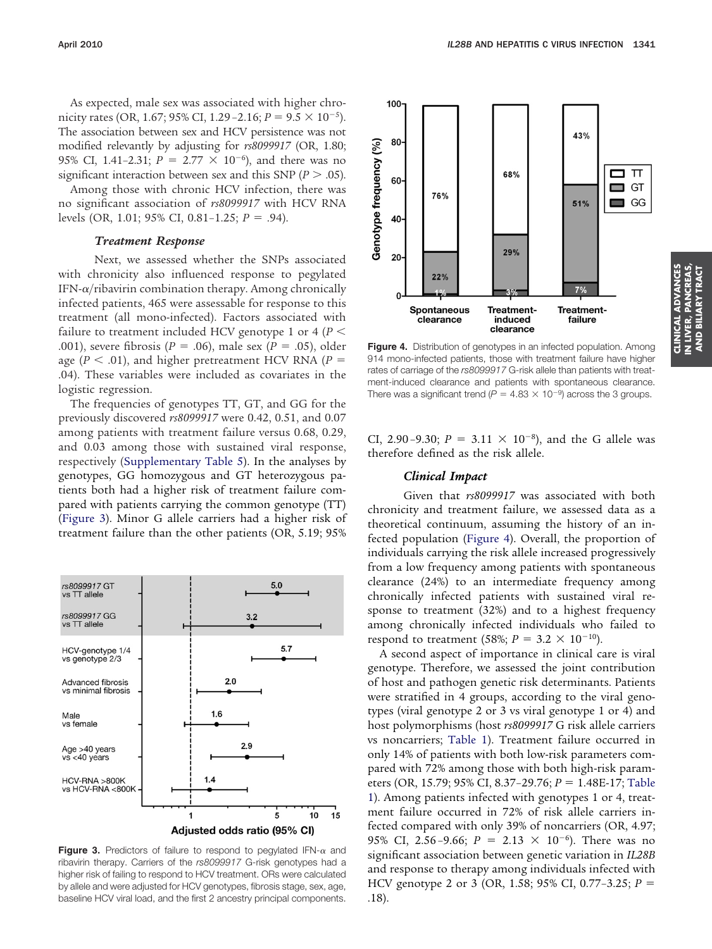As expected, male sex was associated with higher chronicity rates (OR, 1.67; 95% CI, 1.29 - 2.16;  $P = 9.5 \times 10^{-5}$ ). The association between sex and HCV persistence was not modified relevantly by adjusting for *rs8099917* (OR, 1.80; 95% CI, 1.41-2.31;  $P = 2.77 \times 10^{-6}$ ), and there was no significant interaction between sex and this SNP ( $P > .05$ ).

Among those with chronic HCV infection, there was no significant association of *rs8099917* with HCV RNA levels (OR, 1.01; 95% CI, 0.81-1.25; *P* = .94).

#### *Treatment Response*

Next, we assessed whether the SNPs associated with chronicity also influenced response to pegylated IFN- $\alpha$ /ribavirin combination therapy. Among chronically infected patients, 465 were assessable for response to this treatment (all mono-infected). Factors associated with failure to treatment included HCV genotype 1 or 4 (*P* .001), severe fibrosis ( $P = .06$ ), male sex ( $P = .05$ ), older age ( $P < .01$ ), and higher pretreatment HCV RNA ( $P =$ .04). These variables were included as covariates in the logistic regression.

The frequencies of genotypes TT, GT, and GG for the previously discovered *rs8099917* were 0.42, 0.51, and 0.07 among patients with treatment failure versus 0.68, 0.29, and 0.03 among those with sustained viral response, respectively (Supplementary Table 5). In the analyses by genotypes, GG homozygous and GT heterozygous patients both had a higher risk of treatment failure compared with patients carrying the common genotype (TT) (Figure 3). Minor G allele carriers had a higher risk of treatment failure than the other patients (OR, 5.19; 95%



**Figure 3.** Predictors of failure to respond to pegylated IFN- $\alpha$  and ribavirin therapy. Carriers of the *rs8099917* G-risk genotypes had a higher risk of failing to respond to HCV treatment. ORs were calculated by allele and were adjusted for HCV genotypes, fibrosis stage, sex, age, baseline HCV viral load, and the first 2 ancestry principal components.



**Figure 4.** Distribution of genotypes in an infected population. Among 914 mono-infected patients, those with treatment failure have higher rates of carriage of the *rs8099917* G-risk allele than patients with treatment-induced clearance and patients with spontaneous clearance. There was a significant trend ( $P = 4.83 \times 10^{-9}$ ) across the 3 groups.

CI, 2.90-9.30;  $P = 3.11 \times 10^{-8}$ ), and the G allele was therefore defined as the risk allele.

### *Clinical Impact*

Given that *rs8099917* was associated with both chronicity and treatment failure, we assessed data as a theoretical continuum, assuming the history of an infected population (Figure 4). Overall, the proportion of individuals carrying the risk allele increased progressively from a low frequency among patients with spontaneous clearance (24%) to an intermediate frequency among chronically infected patients with sustained viral response to treatment (32%) and to a highest frequency among chronically infected individuals who failed to respond to treatment (58%;  $P = 3.2 \times 10^{-10}$ ).

A second aspect of importance in clinical care is viral genotype. Therefore, we assessed the joint contribution of host and pathogen genetic risk determinants. Patients were stratified in 4 groups, according to the viral genotypes (viral genotype 2 or 3 vs viral genotype 1 or 4) and host polymorphisms (host *rs8099917* G risk allele carriers vs noncarriers; Table 1). Treatment failure occurred in only 14% of patients with both low-risk parameters compared with 72% among those with both high-risk parameters (OR, 15.79; 95% CI, 8.37-29.76; *P* = 1.48E-17; Table 1). Among patients infected with genotypes 1 or 4, treatment failure occurred in 72% of risk allele carriers infected compared with only 39% of noncarriers (OR, 4.97; 95% CI, 2.56-9.66;  $P = 2.13 \times 10^{-6}$ ). There was no significant association between genetic variation in *IL28B* and response to therapy among individuals infected with HCV genotype 2 or 3 (OR, 1.58; 95% CI, 0.77–3.25; *P* .18).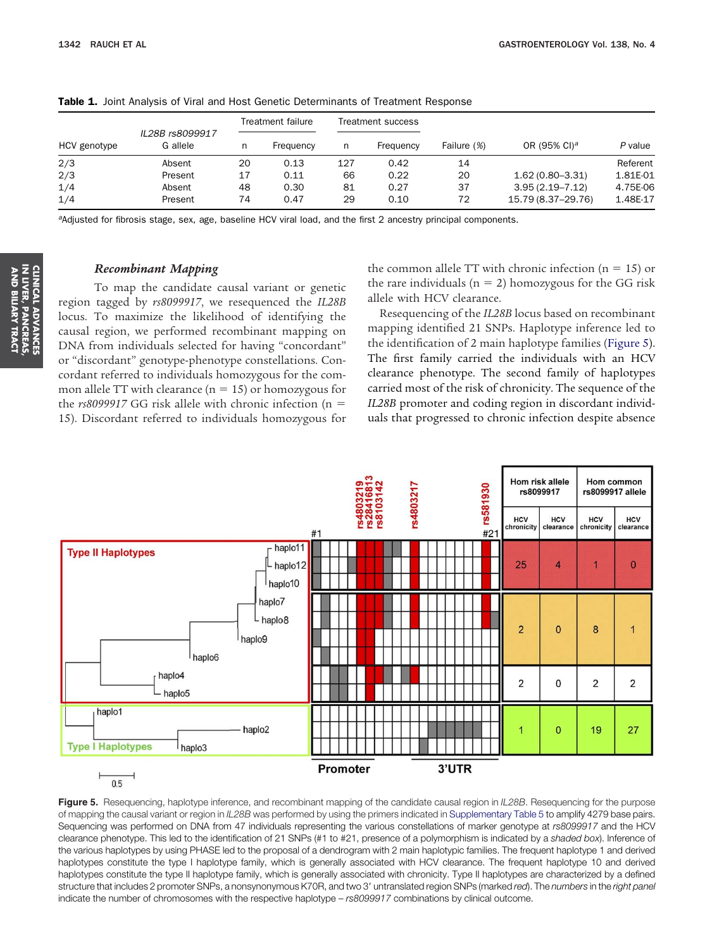|              |                             |    | Treatment failure |     | Treatment success |             |                          | P value  |  |
|--------------|-----------------------------|----|-------------------|-----|-------------------|-------------|--------------------------|----------|--|
| HCV genotype | IL28B rs8099917<br>G allele | n  | Frequency         | n   | Frequency         | Failure (%) | OR (95% CI) <sup>a</sup> |          |  |
| 2/3          | Absent                      | 20 | 0.13              | 127 | 0.42              | 14          |                          | Referent |  |
| 2/3          | Present                     | 17 | 0.11              | 66  | 0.22              | 20          | $1.62(0.80 - 3.31)$      | 1.81E-01 |  |
| 1/4          | Absent                      | 48 | 0.30              | 81  | 0.27              | 37          | $3.95(2.19 - 7.12)$      | 4.75E-06 |  |
| 1/4          | Present                     | 74 | 0.47              | 29  | 0.10              | 72          | 15.79 (8.37-29.76)       | 1.48E-17 |  |

**Table 1.** Joint Analysis of Viral and Host Genetic Determinants of Treatment Response

*<sup>a</sup>*Adjusted for fibrosis stage, sex, age, baseline HCV viral load, and the first 2 ancestry principal components.

## *Recombinant Mapping*

To map the candidate causal variant or genetic region tagged by *rs8099917*, we resequenced the *IL28B* locus. To maximize the likelihood of identifying the causal region, we performed recombinant mapping on DNA from individuals selected for having "concordant" or "discordant" genotype-phenotype constellations. Concordant referred to individuals homozygous for the common allele TT with clearance ( $n = 15$ ) or homozygous for the *rs8099917* GG risk allele with chronic infection (n 15). Discordant referred to individuals homozygous for the common allele TT with chronic infection ( $n = 15$ ) or the rare individuals ( $n = 2$ ) homozygous for the GG risk allele with HCV clearance.

Resequencing of the *IL28B* locus based on recombinant mapping identified 21 SNPs. Haplotype inference led to the identification of 2 main haplotype families (Figure 5). The first family carried the individuals with an HCV clearance phenotype. The second family of haplotypes carried most of the risk of chronicity. The sequence of the *IL28B* promoter and coding region in discordant individuals that progressed to chronic infection despite absence



Figure 5. Resequencing, haplotype inference, and recombinant mapping of the candidate causal region in *IL28B*. Resequencing for the purpose of mapping the causal variant or region in *IL28B* was performed by using the primers indicated in Supplementary Table 5 to amplify 4279 base pairs. Sequencing was performed on DNA from 47 individuals representing the various constellations of marker genotype at *rs8099917* and the HCV clearance phenotype. This led to the identification of 21 SNPs (#1 to #21, presence of a polymorphism is indicated by a *shaded box*). Inference of the various haplotypes by using PHASE led to the proposal of a dendrogram with 2 main haplotypic families. The frequent haplotype 1 and derived haplotypes constitute the type I haplotype family, which is generally associated with HCV clearance. The frequent haplotype 10 and derived haplotypes constitute the type II haplotype family, which is generally associated with chronicity. Type II haplotypes are characterized by a defined structure that includes 2 promoter SNPs, a nonsynonymous K70R, and two 3' untranslated region SNPs (marked *red*). The *numbers* in the *right panel* indicate the number of chromosomes with the respective haplotype – *rs8099917* combinations by clinical outcome.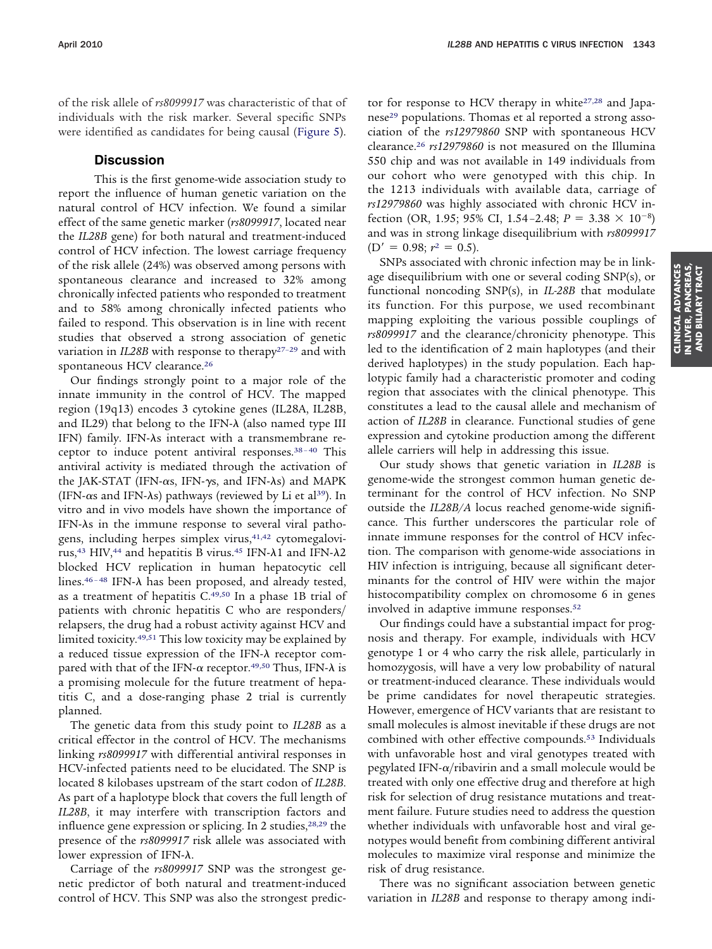of the risk allele of *rs8099917* was characteristic of that of individuals with the risk marker. Several specific SNPs were identified as candidates for being causal (Figure 5).

## **Discussion**

This is the first genome-wide association study to report the influence of human genetic variation on the natural control of HCV infection. We found a similar effect of the same genetic marker (*rs8099917*, located near the *IL28B* gene) for both natural and treatment-induced control of HCV infection. The lowest carriage frequency of the risk allele (24%) was observed among persons with spontaneous clearance and increased to 32% among chronically infected patients who responded to treatment and to 58% among chronically infected patients who failed to respond. This observation is in line with recent studies that observed a strong association of genetic variation in *IL28B* with response to therapy<sup>27-29</sup> and with spontaneous HCV clearance.26

Our findings strongly point to a major role of the innate immunity in the control of HCV. The mapped region (19q13) encodes 3 cytokine genes (IL28A, IL28B, and IL29) that belong to the IFN- $\lambda$  (also named type III IFN) family. IFN- $\lambda$ s interact with a transmembrane receptor to induce potent antiviral responses. $38-40$  This antiviral activity is mediated through the activation of the JAK-STAT (IFN- $\alpha$ s, IFN- $\gamma$ s, and IFN- $\lambda$ s) and MAPK (IFN- $\alpha$ s and IFN- $\lambda$ s) pathways (reviewed by Li et al<sup>39</sup>). In vitro and in vivo models have shown the importance of IFN- $\lambda$ s in the immune response to several viral pathogens, including herpes simplex virus,<sup>41,42</sup> cytomegalovirus,<sup>43</sup> HIV,<sup>44</sup> and hepatitis B virus.<sup>45</sup> IFN- $\lambda$ 1 and IFN- $\lambda$ 2 blocked HCV replication in human hepatocytic cell lines. $46-48$  IFN- $\lambda$  has been proposed, and already tested, as a treatment of hepatitis C.49,50 In a phase 1B trial of patients with chronic hepatitis C who are responders/ relapsers, the drug had a robust activity against HCV and limited toxicity.49,51 This low toxicity may be explained by a reduced tissue expression of the IFN- $\lambda$  receptor compared with that of the IFN- $\alpha$  receptor.<sup>49,50</sup> Thus, IFN- $\lambda$  is a promising molecule for the future treatment of hepatitis C, and a dose-ranging phase 2 trial is currently planned.

The genetic data from this study point to *IL28B* as a critical effector in the control of HCV. The mechanisms linking *rs8099917* with differential antiviral responses in HCV-infected patients need to be elucidated. The SNP is located 8 kilobases upstream of the start codon of *IL28B*. As part of a haplotype block that covers the full length of *IL28B*, it may interfere with transcription factors and influence gene expression or splicing. In 2 studies,<sup>28,29</sup> the presence of the *rs8099917* risk allele was associated with lower expression of IFN- $\lambda$ .

Carriage of the *rs8099917* SNP was the strongest genetic predictor of both natural and treatment-induced control of HCV. This SNP was also the strongest predictor for response to HCV therapy in white<sup>27,28</sup> and Japanese<sup>29</sup> populations. Thomas et al reported a strong association of the *rs12979860* SNP with spontaneous HCV clearance.26 *rs12979860* is not measured on the Illumina 550 chip and was not available in 149 individuals from our cohort who were genotyped with this chip. In the 1213 individuals with available data, carriage of *rs12979860* was highly associated with chronic HCV infection (OR, 1.95; 95% CI, 1.54-2.48;  $P = 3.38 \times 10^{-8}$ ) and was in strong linkage disequilibrium with *rs8099917*  $(D' = 0.98; r^2 = 0.5).$ 

SNPs associated with chronic infection may be in linkage disequilibrium with one or several coding SNP(s), or functional noncoding SNP(s), in *IL-28B* that modulate its function. For this purpose, we used recombinant mapping exploiting the various possible couplings of *rs8099917* and the clearance/chronicity phenotype. This led to the identification of 2 main haplotypes (and their derived haplotypes) in the study population. Each haplotypic family had a characteristic promoter and coding region that associates with the clinical phenotype. This constitutes a lead to the causal allele and mechanism of action of *IL28B* in clearance. Functional studies of gene expression and cytokine production among the different allele carriers will help in addressing this issue.

Our study shows that genetic variation in *IL28B* is genome-wide the strongest common human genetic determinant for the control of HCV infection. No SNP outside the *IL28B/A* locus reached genome-wide significance. This further underscores the particular role of innate immune responses for the control of HCV infection. The comparison with genome-wide associations in HIV infection is intriguing, because all significant determinants for the control of HIV were within the major histocompatibility complex on chromosome 6 in genes involved in adaptive immune responses.52

Our findings could have a substantial impact for prognosis and therapy. For example, individuals with HCV genotype 1 or 4 who carry the risk allele, particularly in homozygosis, will have a very low probability of natural or treatment-induced clearance. These individuals would be prime candidates for novel therapeutic strategies. However, emergence of HCV variants that are resistant to small molecules is almost inevitable if these drugs are not combined with other effective compounds.53 Individuals with unfavorable host and viral genotypes treated with pegylated IFN- $\alpha$ /ribavirin and a small molecule would be treated with only one effective drug and therefore at high risk for selection of drug resistance mutations and treatment failure. Future studies need to address the question whether individuals with unfavorable host and viral genotypes would benefit from combining different antiviral molecules to maximize viral response and minimize the risk of drug resistance.

There was no significant association between genetic variation in *IL28B* and response to therapy among indi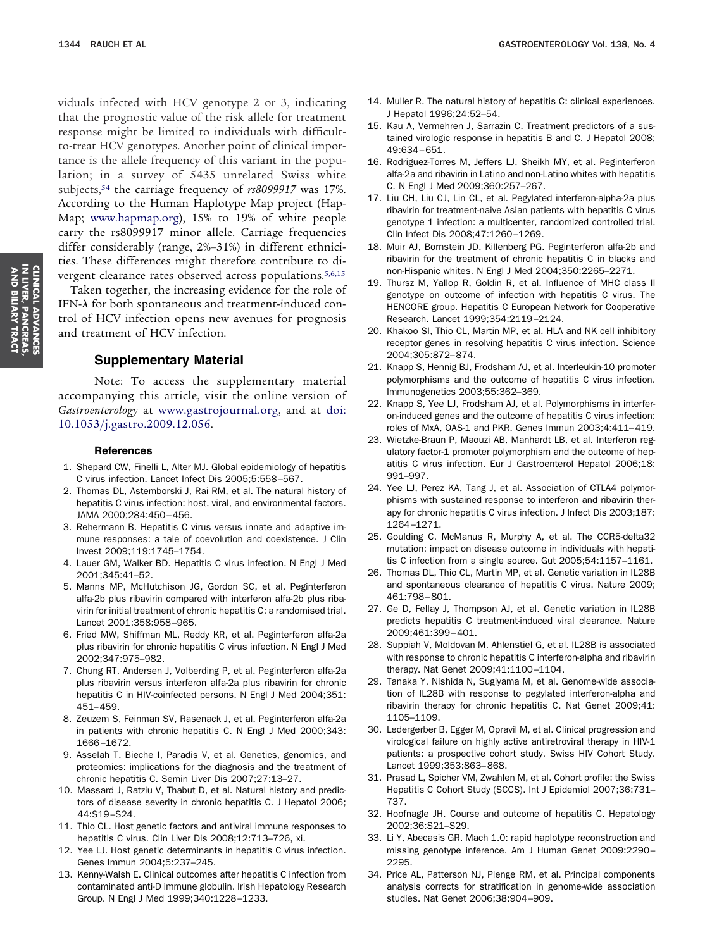viduals infected with HCV genotype 2 or 3, indicating that the prognostic value of the risk allele for treatment response might be limited to individuals with difficultto-treat HCV genotypes. Another point of clinical importance is the allele frequency of this variant in the population; in a survey of 5435 unrelated Swiss white subjects,54 the carriage frequency of *rs8099917* was 17%. According to the Human Haplotype Map project (Hap-Map; [www.hapmap.org\)](http://www.hapmap.org), 15% to 19% of white people carry the rs8099917 minor allele. Carriage frequencies differ considerably (range, 2%–31%) in different ethnicities. These differences might therefore contribute to divergent clearance rates observed across populations.<sup>5,6,15</sup>

Taken together, the increasing evidence for the role of IFN- $\lambda$  for both spontaneous and treatment-induced control of HCV infection opens new avenues for prognosis and treatment of HCV infection.

## **Supplementary Material**

Note: To access the supplementary material accompanying this article, visit the online version of *Gastroenterology* at [www.gastrojournal.org,](http://www.gastrojournal.org) and at [doi:](http://dx.doi.org/10.1053/j.gastro.2009.12.056) [10.1053/j.gastro.2009.12.056.](http://dx.doi.org/10.1053/j.gastro.2009.12.056)

#### **References**

- 1. Shepard CW, Finelli L, Alter MJ. Global epidemiology of hepatitis C virus infection. Lancet Infect Dis 2005;5:558–567.
- 2. Thomas DL, Astemborski J, Rai RM, et al. The natural history of hepatitis C virus infection: host, viral, and environmental factors. JAMA 2000;284:450–456.
- 3. Rehermann B. Hepatitis C virus versus innate and adaptive immune responses: a tale of coevolution and coexistence. J Clin Invest 2009;119:1745–1754.
- 4. Lauer GM, Walker BD. Hepatitis C virus infection. N Engl J Med 2001;345:41–52.
- 5. Manns MP, McHutchison JG, Gordon SC, et al. Peginterferon alfa-2b plus ribavirin compared with interferon alfa-2b plus ribavirin for initial treatment of chronic hepatitis C: a randomised trial. Lancet 2001;358:958–965.
- 6. Fried MW, Shiffman ML, Reddy KR, et al. Peginterferon alfa-2a plus ribavirin for chronic hepatitis C virus infection. N Engl J Med 2002;347:975–982.
- 7. Chung RT, Andersen J, Volberding P, et al. Peginterferon alfa-2a plus ribavirin versus interferon alfa-2a plus ribavirin for chronic hepatitis C in HIV-coinfected persons. N Engl J Med 2004;351: 451–459.
- 8. Zeuzem S, Feinman SV, Rasenack J, et al. Peginterferon alfa-2a in patients with chronic hepatitis C. N Engl J Med 2000;343: 1666–1672.
- 9. Asselah T, Bieche I, Paradis V, et al. Genetics, genomics, and proteomics: implications for the diagnosis and the treatment of chronic hepatitis C. Semin Liver Dis 2007;27:13–27.
- 10. Massard J, Ratziu V, Thabut D, et al. Natural history and predictors of disease severity in chronic hepatitis C. J Hepatol 2006; 44:S19–S24.
- 11. Thio CL. Host genetic factors and antiviral immune responses to hepatitis C virus. Clin Liver Dis 2008;12:713–726, xi.
- 12. Yee LJ. Host genetic determinants in hepatitis C virus infection. Genes Immun 2004;5:237–245.
- 13. Kenny-Walsh E. Clinical outcomes after hepatitis C infection from contaminated anti-D immune globulin. Irish Hepatology Research Group. N Engl J Med 1999;340:1228–1233.
- 14. Muller R. The natural history of hepatitis C: clinical experiences. J Hepatol 1996;24:52–54.
- 15. Kau A, Vermehren J, Sarrazin C. Treatment predictors of a sustained virologic response in hepatitis B and C. J Hepatol 2008; 49:634–651.
- 16. Rodriguez-Torres M, Jeffers LJ, Sheikh MY, et al. Peginterferon alfa-2a and ribavirin in Latino and non-Latino whites with hepatitis C. N Engl J Med 2009;360:257–267.
- 17. Liu CH, Liu CJ, Lin CL, et al. Pegylated interferon-alpha-2a plus ribavirin for treatment-naive Asian patients with hepatitis C virus genotype 1 infection: a multicenter, randomized controlled trial. Clin Infect Dis 2008;47:1260–1269.
- 18. Muir AJ, Bornstein JD, Killenberg PG. Peginterferon alfa-2b and ribavirin for the treatment of chronic hepatitis C in blacks and non-Hispanic whites. N Engl J Med 2004;350:2265–2271.
- 19. Thursz M, Yallop R, Goldin R, et al. Influence of MHC class II genotype on outcome of infection with hepatitis C virus. The HENCORE group. Hepatitis C European Network for Cooperative Research. Lancet 1999;354:2119–2124.
- 20. Khakoo SI, Thio CL, Martin MP, et al. HLA and NK cell inhibitory receptor genes in resolving hepatitis C virus infection. Science 2004;305:872–874.
- 21. Knapp S, Hennig BJ, Frodsham AJ, et al. Interleukin-10 promoter polymorphisms and the outcome of hepatitis C virus infection. Immunogenetics 2003;55:362–369.
- 22. Knapp S, Yee LJ, Frodsham AJ, et al. Polymorphisms in interferon-induced genes and the outcome of hepatitis C virus infection: roles of MxA, OAS-1 and PKR. Genes Immun 2003;4:411–419.
- 23. Wietzke-Braun P, Maouzi AB, Manhardt LB, et al. Interferon regulatory factor-1 promoter polymorphism and the outcome of hepatitis C virus infection. Eur J Gastroenterol Hepatol 2006;18: 991–997.
- 24. Yee LJ, Perez KA, Tang J, et al. Association of CTLA4 polymorphisms with sustained response to interferon and ribavirin therapy for chronic hepatitis C virus infection. J Infect Dis 2003;187: 1264–1271.
- 25. Goulding C, McManus R, Murphy A, et al. The CCR5-delta32 mutation: impact on disease outcome in individuals with hepatitis C infection from a single source. Gut 2005;54:1157–1161.
- 26. Thomas DL, Thio CL, Martin MP, et al. Genetic variation in IL28B and spontaneous clearance of hepatitis C virus. Nature 2009; 461:798–801.
- 27. Ge D, Fellay J, Thompson AJ, et al. Genetic variation in IL28B predicts hepatitis C treatment-induced viral clearance. Nature 2009;461:399–401.
- 28. Suppiah V, Moldovan M, Ahlenstiel G, et al. IL28B is associated with response to chronic hepatitis C interferon-alpha and ribavirin therapy. Nat Genet 2009;41:1100–1104.
- 29. Tanaka Y, Nishida N, Sugiyama M, et al. Genome-wide association of IL28B with response to pegylated interferon-alpha and ribavirin therapy for chronic hepatitis C. Nat Genet 2009;41: 1105–1109.
- 30. Ledergerber B, Egger M, Opravil M, et al. Clinical progression and virological failure on highly active antiretroviral therapy in HIV-1 patients: a prospective cohort study. Swiss HIV Cohort Study. Lancet 1999;353:863–868.
- 31. Prasad L, Spicher VM, Zwahlen M, et al. Cohort profile: the Swiss Hepatitis C Cohort Study (SCCS). Int J Epidemiol 2007;36:731– 737.
- 32. Hoofnagle JH. Course and outcome of hepatitis C. Hepatology 2002;36:S21–S29.
- 33. Li Y, Abecasis GR. Mach 1.0: rapid haplotype reconstruction and missing genotype inference. Am J Human Genet 2009:2290– 2295.
- 34. Price AL, Patterson NJ, Plenge RM, et al. Principal components analysis corrects for stratification in genome-wide association studies. Nat Genet 2006;38:904–909.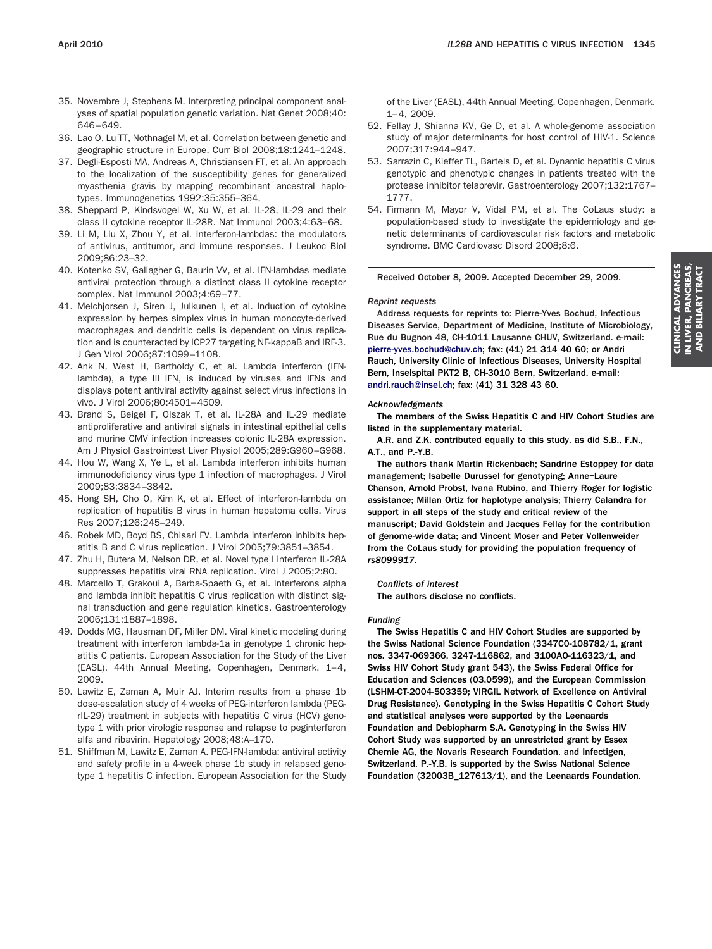- 35. Novembre J, Stephens M. Interpreting principal component analyses of spatial population genetic variation. Nat Genet 2008;40: 646–649.
- 36. Lao O, Lu TT, Nothnagel M, et al. Correlation between genetic and geographic structure in Europe. Curr Biol 2008;18:1241–1248.
- 37. Degli-Esposti MA, Andreas A, Christiansen FT, et al. An approach to the localization of the susceptibility genes for generalized myasthenia gravis by mapping recombinant ancestral haplotypes. Immunogenetics 1992;35:355–364.
- 38. Sheppard P, Kindsvogel W, Xu W, et al. IL-28, IL-29 and their class II cytokine receptor IL-28R. Nat Immunol 2003;4:63–68.
- 39. Li M, Liu X, Zhou Y, et al. Interferon-lambdas: the modulators of antivirus, antitumor, and immune responses. J Leukoc Biol 2009;86:23–32.
- 40. Kotenko SV, Gallagher G, Baurin VV, et al. IFN-lambdas mediate antiviral protection through a distinct class II cytokine receptor complex. Nat Immunol 2003;4:69–77.
- 41. Melchjorsen J, Siren J, Julkunen I, et al. Induction of cytokine expression by herpes simplex virus in human monocyte-derived macrophages and dendritic cells is dependent on virus replication and is counteracted by ICP27 targeting NF-kappaB and IRF-3. J Gen Virol 2006;87:1099–1108.
- 42. Ank N, West H, Bartholdy C, et al. Lambda interferon (IFNlambda), a type III IFN, is induced by viruses and IFNs and displays potent antiviral activity against select virus infections in vivo. J Virol 2006;80:4501–4509.
- 43. Brand S, Beigel F, Olszak T, et al. IL-28A and IL-29 mediate antiproliferative and antiviral signals in intestinal epithelial cells and murine CMV infection increases colonic IL-28A expression. Am J Physiol Gastrointest Liver Physiol 2005;289:G960–G968.
- 44. Hou W, Wang X, Ye L, et al. Lambda interferon inhibits human immunodeficiency virus type 1 infection of macrophages. J Virol 2009;83:3834–3842.
- 45. Hong SH, Cho O, Kim K, et al. Effect of interferon-lambda on replication of hepatitis B virus in human hepatoma cells. Virus Res 2007;126:245–249.
- 46. Robek MD, Boyd BS, Chisari FV. Lambda interferon inhibits hepatitis B and C virus replication. J Virol 2005;79:3851–3854.
- 47. Zhu H, Butera M, Nelson DR, et al. Novel type I interferon IL-28A suppresses hepatitis viral RNA replication. Virol J 2005;2:80.
- 48. Marcello T, Grakoui A, Barba-Spaeth G, et al. Interferons alpha and lambda inhibit hepatitis C virus replication with distinct signal transduction and gene regulation kinetics. Gastroenterology 2006;131:1887–1898.
- 49. Dodds MG, Hausman DF, Miller DM. Viral kinetic modeling during treatment with interferon lambda-1a in genotype 1 chronic hepatitis C patients. European Association for the Study of the Liver (EASL), 44th Annual Meeting, Copenhagen, Denmark. 1–4, 2009.
- 50. Lawitz E, Zaman A, Muir AJ. Interim results from a phase 1b dose-escalation study of 4 weeks of PEG-interferon lambda (PEGrIL-29) treatment in subjects with hepatitis C virus (HCV) genotype 1 with prior virologic response and relapse to peginterferon alfa and ribavirin. Hepatology 2008;48:A–170.
- 51. Shiffman M, Lawitz E, Zaman A. PEG-IFN-lambda: antiviral activity and safety profile in a 4-week phase 1b study in relapsed genotype 1 hepatitis C infection. European Association for the Study

of the Liver (EASL), 44th Annual Meeting, Copenhagen, Denmark. 1–4, 2009.

- 52. Fellay J, Shianna KV, Ge D, et al. A whole-genome association study of major determinants for host control of HIV-1. Science 2007;317:944–947.
- 53. Sarrazin C, Kieffer TL, Bartels D, et al. Dynamic hepatitis C virus genotypic and phenotypic changes in patients treated with the protease inhibitor telaprevir. Gastroenterology 2007;132:1767– 1777.
- 54. Firmann M, Mayor V, Vidal PM, et al. The CoLaus study: a population-based study to investigate the epidemiology and genetic determinants of cardiovascular risk factors and metabolic syndrome. BMC Cardiovasc Disord 2008;8:6.

#### Received October 8, 2009. Accepted December 29, 2009.

#### *Reprint requests*

Address requests for reprints to: Pierre-Yves Bochud, Infectious Diseases Service, Department of Medicine, Institute of Microbiology, Rue du Bugnon 48, CH-1011 Lausanne CHUV, Switzerland. e-mail: [pierre-yves.bochud@chuv.ch;](mailto:pierre-yves.bochud@chuv.ch) fax: (41) 21 314 40 60; or Andri Rauch, University Clinic of Infectious Diseases, University Hospital Bern, Inselspital PKT2 B, CH-3010 Bern, Switzerland. e-mail: [andri.rauch@insel.ch;](mailto:andri.rauch@insel.ch) fax: (41) 31 328 43 60.

#### *Acknowledgments*

The members of the Swiss Hepatitis C and HIV Cohort Studies are listed in the supplementary material.

A.R. and Z.K. contributed equally to this study, as did S.B., F.N., A.T., and P.-Y.B.

The authors thank Martin Rickenbach; Sandrine Estoppey for data management; Isabelle Durussel for genotyping; Anne–Laure Chanson, Arnold Probst, Ivana Rubino, and Thierry Roger for logistic assistance; Millan Ortiz for haplotype analysis; Thierry Calandra for support in all steps of the study and critical review of the manuscript; David Goldstein and Jacques Fellay for the contribution of genome-wide data; and Vincent Moser and Peter Vollenweider from the CoLaus study for providing the population frequency of *rs8099917*.

#### *Conflicts of interest*

The authors disclose no conflicts.

#### *Funding*

The Swiss Hepatitis C and HIV Cohort Studies are supported by the Swiss National Science Foundation (3347C0-108782/1, grant nos. 3347-069366, 3247-116862, and 3100AO-116323/1, and Swiss HIV Cohort Study grant 543), the Swiss Federal Office for Education and Sciences (03.0599), and the European Commission (LSHM-CT-2004-503359; VIRGIL Network of Excellence on Antiviral Drug Resistance). Genotyping in the Swiss Hepatitis C Cohort Study and statistical analyses were supported by the Leenaards Foundation and Debiopharm S.A. Genotyping in the Swiss HIV Cohort Study was supported by an unrestricted grant by Essex Chemie AG, the Novaris Research Foundation, and Infectigen, Switzerland. P.-Y.B. is supported by the Swiss National Science Foundation (32003B\_127613/1), and the Leenaards Foundation.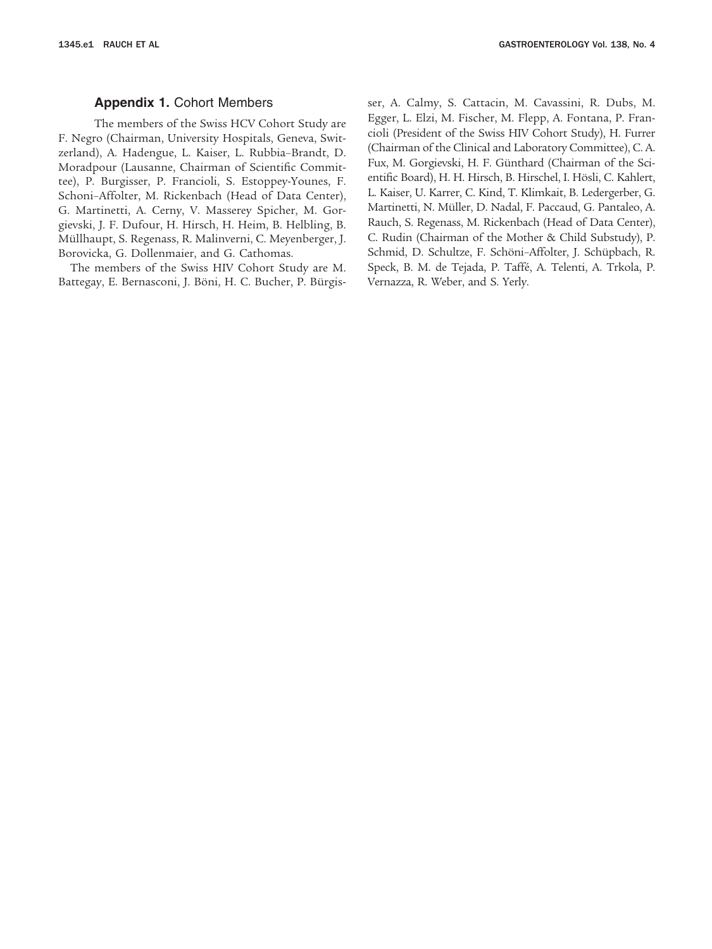## **Appendix 1.** Cohort Members

The members of the Swiss HCV Cohort Study are F. Negro (Chairman, University Hospitals, Geneva, Switzerland), A. Hadengue, L. Kaiser, L. Rubbia–Brandt, D. Moradpour (Lausanne, Chairman of Scientific Committee), P. Burgisser, P. Francioli, S. Estoppey-Younes, F. Schoni–Affolter, M. Rickenbach (Head of Data Center), G. Martinetti, A. Cerny, V. Masserey Spicher, M. Gorgievski, J. F. Dufour, H. Hirsch, H. Heim, B. Helbling, B. Müllhaupt, S. Regenass, R. Malinverni, C. Meyenberger, J. Borovicka, G. Dollenmaier, and G. Cathomas.

The members of the Swiss HIV Cohort Study are M. Battegay, E. Bernasconi, J. Böni, H. C. Bucher, P. Bürgisser, A. Calmy, S. Cattacin, M. Cavassini, R. Dubs, M. Egger, L. Elzi, M. Fischer, M. Flepp, A. Fontana, P. Francioli (President of the Swiss HIV Cohort Study), H. Furrer (Chairman of the Clinical and Laboratory Committee), C. A. Fux, M. Gorgievski, H. F. Günthard (Chairman of the Scientific Board), H. H. Hirsch, B. Hirschel, I. Hösli, C. Kahlert, L. Kaiser, U. Karrer, C. Kind, T. Klimkait, B. Ledergerber, G. Martinetti, N. Müller, D. Nadal, F. Paccaud, G. Pantaleo, A. Rauch, S. Regenass, M. Rickenbach (Head of Data Center), C. Rudin (Chairman of the Mother & Child Substudy), P. Schmid, D. Schultze, F. Schöni–Affolter, J. Schüpbach, R. Speck, B. M. de Tejada, P. Taffé, A. Telenti, A. Trkola, P. Vernazza, R. Weber, and S. Yerly.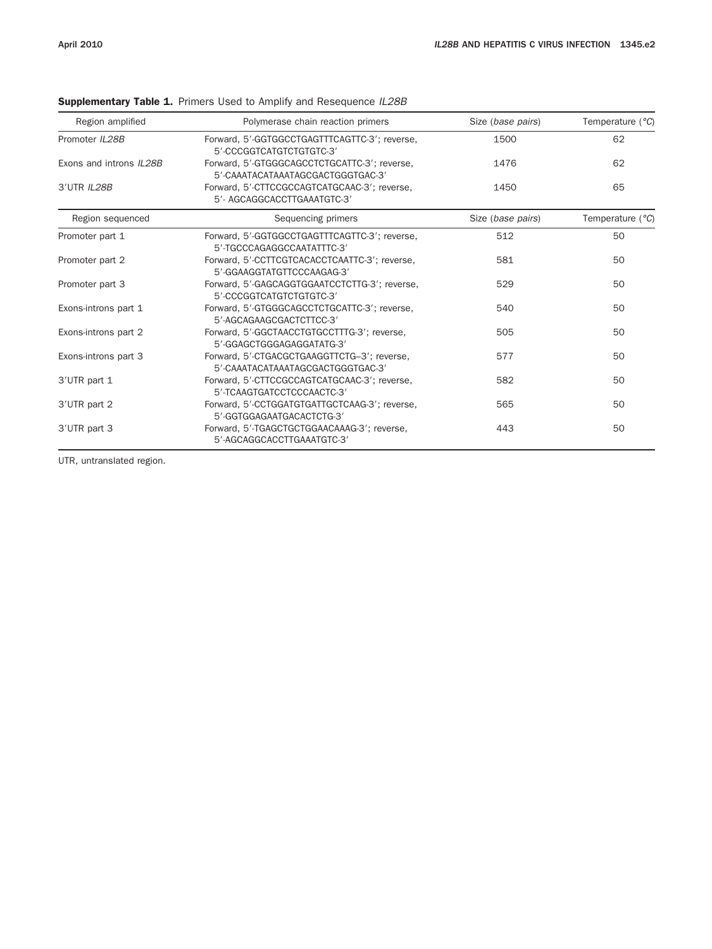| Region amplified        | Polymerase chain reaction primers                                                 | Size (base pairs) | Temperature $(^{\circ}C)$ |
|-------------------------|-----------------------------------------------------------------------------------|-------------------|---------------------------|
| Promoter IL28B          | Forward, 5'-GGTGGCCTGAGTTTCAGTTC-3'; reverse,<br>5'-CCCGGTCATGTCTGTGTC-3'         | 1500              | 62                        |
| Exons and introns IL28B | Forward, 5'-GTGGGCAGCCTCTGCATTC-3'; reverse,<br>5'-CAAATACATAAATAGCGACTGGGTGAC-3' | 1476              | 62                        |
| 3'UTR IL28B             | Forward, 5'-CTTCCGCCAGTCATGCAAC-3'; reverse,<br>5'- AGCAGGCACCTTGAAATGTC-3'       | 1450              | 65                        |
| Region sequenced        | Sequencing primers                                                                | Size (base pairs) | Temperature $(^{\circ}C)$ |
| Promoter part 1         | Forward, 5'-GGTGGCCTGAGTTTCAGTTC-3'; reverse,<br>5'-TGCCCAGAGGCCAATATTTC-3'       | 512               | 50                        |
| Promoter part 2         | Forward, 5'-CCTTCGTCACACCTCAATTC-3'; reverse,<br>5'-GGAAGGTATGTTCCCAAGAG-3'       | 581               | 50                        |
| Promoter part 3         | Forward, 5'-GAGCAGGTGGAATCCTCTTG-3'; reverse,<br>5'-CCCGGTCATGTCTGTGTC-3'         | 529               | 50                        |
| Exons-introns part 1    | Forward, 5'-GTGGGCAGCCTCTGCATTC-3': reverse,<br>5'-AGCAGAAGCGACTCTTCC-3'          | 540               | 50                        |
| Exons-introns part 2    | Forward, 5'-GGCTAACCTGTGCCTTTG-3'; reverse,<br>5'-GGAGCTGGGAGAGGATATG-3'          | 505               | 50                        |
| Exons-introns part 3    | Forward, 5'-CTGACGCTGAAGGTTCTG-3'; reverse,<br>5'-CAAATACATAAATAGCGACTGGGTGAC-3'  | 577               | 50                        |
| 3'UTR part 1            | Forward, 5'-CTTCCGCCAGTCATGCAAC-3'; reverse,<br>5'-TCAAGTGATCCTCCCAACTC-3'        | 582               | 50                        |
| 3'UTR part 2            | Forward, 5'-CCTGGATGTGATTGCTCAAG-3'; reverse,<br>5'-GGTGGAGAATGACACTCTG-3'        | 565               | 50                        |
| 3'UTR part 3            | Forward, 5'-TGAGCTGCTGGAACAAAG-3'; reverse,<br>5'-AGCAGGCACCTTGAAATGTC-3'         | 443               | 50                        |

## Supplementary Table 1. Primers Used to Amplify and Resequence *IL28B*

UTR, untranslated region.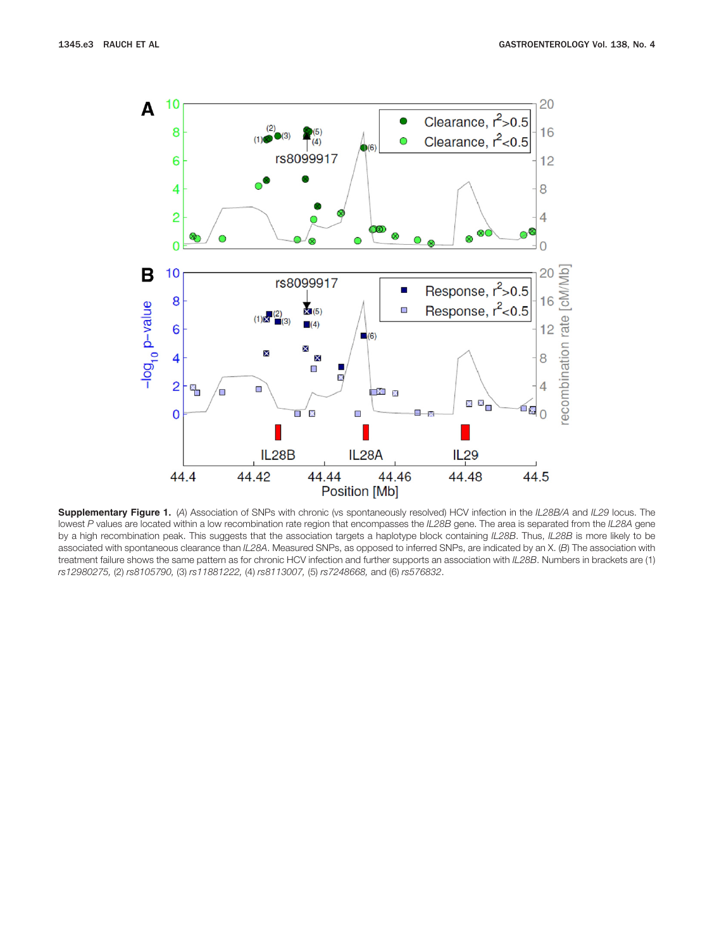

**Supplementary Figure 1.** (*A*) Association of SNPs with chronic (vs spontaneously resolved) HCV infection in the *IL28B/A* and *IL29* locus. The lowest *P* values are located within a low recombination rate region that encompasses the *IL28B* gene. The area is separated from the *IL28A* gene by a high recombination peak. This suggests that the association targets a haplotype block containing *IL28B*. Thus, *IL28B* is more likely to be associated with spontaneous clearance than *IL28A*. Measured SNPs, as opposed to inferred SNPs, are indicated by an X. (*B*) The association with treatment failure shows the same pattern as for chronic HCV infection and further supports an association with *IL28B*. Numbers in brackets are (1) *rs12980275,* (2) *rs8105790,* (3) *rs11881222,* (4) *rs8113007,* (5) *rs7248668,* and (6) *rs576832*.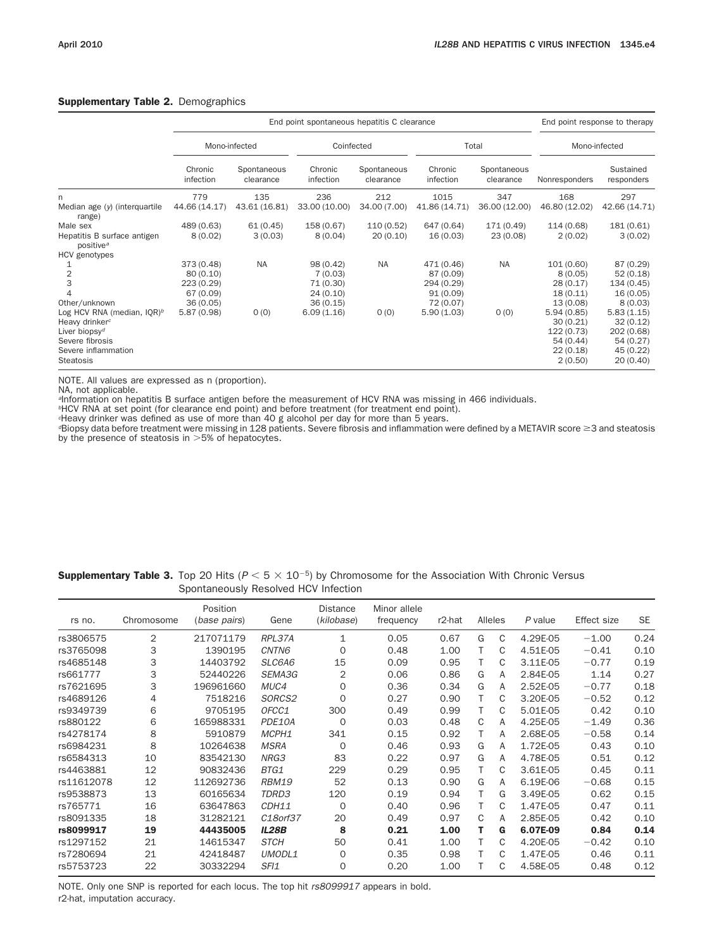## Supplementary Table 2. Demographics

|                                                      |                      | End point response to therapy |                      |                          |                      |                          |               |                         |  |
|------------------------------------------------------|----------------------|-------------------------------|----------------------|--------------------------|----------------------|--------------------------|---------------|-------------------------|--|
|                                                      | Mono-infected        |                               | Coinfected           |                          |                      | Total                    | Mono-infected |                         |  |
|                                                      | Chronic<br>infection | Spontaneous<br>clearance      | Chronic<br>infection | Spontaneous<br>clearance | Chronic<br>infection | Spontaneous<br>clearance | Nonresponders | Sustained<br>responders |  |
| n                                                    | 779                  | 135                           | 236                  | 212                      | 1015                 | 347                      | 168           | 297                     |  |
| Median age (y) (interquartile<br>range)              | 44.66 (14.17)        | 43.61 (16.81)                 | 33.00 (10.00)        | 34.00 (7.00)             | 41.86 (14.71)        | 36.00 (12.00)            | 46.80 (12.02) | 42.66 (14.71)           |  |
| Male sex                                             | 489 (0.63)           | 61(0.45)                      | 158 (0.67)           | 110 (0.52)               | 647 (0.64)           | 171 (0.49)               | 114 (0.68)    | 181 (0.61)              |  |
| Hepatitis B surface antigen<br>positive <sup>a</sup> | 8(0.02)              | 3(0.03)                       | 8(0.04)              | 20(0.10)                 | 16(0.03)             | 23(0.08)                 | 2(0.02)       | 3(0.02)                 |  |
| HCV genotypes                                        |                      |                               |                      |                          |                      |                          |               |                         |  |
|                                                      | 373 (0.48)           | <b>NA</b>                     | 98 (0.42)            | <b>NA</b>                | 471 (0.46)           | <b>NA</b>                | 101 (0.60)    | 87 (0.29)               |  |
| 2                                                    | 80 (0.10)            |                               | 7(0.03)              |                          | 87 (0.09)            |                          | 8(0.05)       | 52(0.18)                |  |
| 3                                                    | 223 (0.29)           |                               | 71 (0.30)            |                          | 294 (0.29)           |                          | 28(0.17)      | 134 (0.45)              |  |
|                                                      | 67 (0.09)            |                               | 24(0.10)             |                          | 91(0.09)             |                          | 18(0.11)      | 16(0.05)                |  |
| Other/unknown                                        | 36(0.05)             |                               | 36(0.15)             |                          | 72 (0.07)            |                          | 13(0.08)      | 8(0.03)                 |  |
| Log HCV RNA (median, $IQR)^b$                        | 5.87(0.98)           | 0(0)                          | 6.09(1.16)           | O(0)                     | 5.90(1.03)           | 0(0)                     | 5.94(0.85)    | 5.83(1.15)              |  |
| Heavy drinker <sup>c</sup>                           |                      |                               |                      |                          |                      |                          | 30(0.21)      | 32(0.12)                |  |
| Liver biopsy <sup>d</sup>                            |                      |                               |                      |                          |                      |                          | 122 (0.73)    | 202 (0.68)              |  |
| Severe fibrosis                                      |                      |                               |                      |                          |                      |                          | 54 (0.44)     | 54(0.27)                |  |
| Severe inflammation                                  |                      |                               |                      |                          |                      |                          | 22(0.18)      | 45(0.22)                |  |
| Steatosis                                            |                      |                               |                      |                          |                      |                          | 2(0.50)       | 20(0.40)                |  |

NOTE. All values are expressed as n (proportion).

NA, not applicable.

*<sup>a</sup>*Information on hepatitis B surface antigen before the measurement of HCV RNA was missing in 466 individuals.

*<sup>b</sup>*HCV RNA at set point (for clearance end point) and before treatment (for treatment end point).

*<sup>c</sup>*Heavy drinker was defined as use of more than 40 g alcohol per day for more than 5 years.

*<sup>d</sup>*Biopsy data before treatment were missing in 128 patients. Severe fibrosis and inflammation were defined by a METAVIR score 3 and steatosis by the presence of steatosis in  $>5%$  of hepatocytes.

| <b>Supplementary Table 3.</b> Top 20 Hits ( $P < 5 \times 10^{-5}$ ) by Chromosome for the Association With Chronic Versus |  |
|----------------------------------------------------------------------------------------------------------------------------|--|
| Spontaneously Resolved HCV Infection                                                                                       |  |

|            |            | Position     |                  | <b>Distance</b> | Minor allele |                     |   |         |          |             |           |
|------------|------------|--------------|------------------|-----------------|--------------|---------------------|---|---------|----------|-------------|-----------|
| rs no.     | Chromosome | (base pairs) | Gene             | (kilobase)      | frequency    | r <sub>2</sub> -hat |   | Alleles | P value  | Effect size | <b>SE</b> |
| rs3806575  | 2          | 217071179    | RPL37A           | $\mathbf{1}$    | 0.05         | 0.67                | G | C       | 4.29E-05 | $-1.00$     | 0.24      |
| rs3765098  | 3          | 1390195      | CNTN6            | $\Omega$        | 0.48         | 1.00                |   | C       | 4.51E-05 | $-0.41$     | 0.10      |
| rs4685148  | 3          | 14403792     | SLC6A6           | 15              | 0.09         | 0.95                |   | C       | 3.11E-05 | $-0.77$     | 0.19      |
| rs661777   | 3          | 52440226     | <i>SEMA3G</i>    | $\overline{2}$  | 0.06         | 0.86                | G | A       | 2.84E-05 | 1.14        | 0.27      |
| rs7621695  | 3          | 196961660    | MUC4             | $\mathbf 0$     | 0.36         | 0.34                | G | A       | 2.52E-05 | $-0.77$     | 0.18      |
| rs4689126  | 4          | 7518216      | SORCS2           | $\mathbf 0$     | 0.27         | 0.90                |   | C       | 3.20E-05 | $-0.52$     | 0.12      |
| rs9349739  | 6          | 9705195      | OFCC1            | 300             | 0.49         | 0.99                |   | C       | 5.01E-05 | 0.42        | 0.10      |
| rs880122   | 6          | 165988331    | PDE10A           | 0               | 0.03         | 0.48                | C | A       | 4.25E-05 | $-1.49$     | 0.36      |
| rs4278174  | 8          | 5910879      | MCPH1            | 341             | 0.15         | 0.92                |   | A       | 2.68E-05 | $-0.58$     | 0.14      |
| rs6984231  | 8          | 10264638     | <b>MSRA</b>      | $\Omega$        | 0.46         | 0.93                | G | A       | 1.72E-05 | 0.43        | 0.10      |
| rs6584313  | 10         | 83542130     | NRG3             | 83              | 0.22         | 0.97                | G | A       | 4.78E-05 | 0.51        | 0.12      |
| rs4463881  | 12         | 90832436     | BTG1             | 229             | 0.29         | 0.95                |   | C       | 3.61E-05 | 0.45        | 0.11      |
| rs11612078 | 12         | 112692736    | RBM19            | 52              | 0.13         | 0.90                | G | A       | 6.19E-06 | $-0.68$     | 0.15      |
| rs9538873  | 13         | 60165634     | TDRD3            | 120             | 0.19         | 0.94                |   | G       | 3.49E-05 | 0.62        | 0.15      |
| rs765771   | 16         | 63647863     | CDH11            | $\Omega$        | 0.40         | 0.96                |   | C       | 1.47E-05 | 0.47        | 0.11      |
| rs8091335  | 18         | 31282121     | C18orf37         | 20              | 0.49         | 0.97                | C | A       | 2.85E-05 | 0.42        | 0.10      |
| rs8099917  | 19         | 44435005     | <b>IL28B</b>     | 8               | 0.21         | 1.00                |   | G       | 6.07E-09 | 0.84        | 0.14      |
| rs1297152  | 21         | 14615347     | <b>STCH</b>      | 50              | 0.41         | 1.00                | т | C       | 4.20E-05 | $-0.42$     | 0.10      |
| rs7280694  | 21         | 42418487     | UMODL1           | 0               | 0.35         | 0.98                |   | C       | 1.47E-05 | 0.46        | 0.11      |
| rs5753723  | 22         | 30332294     | SFI <sub>1</sub> | $\Omega$        | 0.20         | 1.00                |   | C       | 4.58E-05 | 0.48        | 0.12      |

NOTE. Only one SNP is reported for each locus. The top hit *rs8099917* appears in bold. r2-hat, imputation accuracy.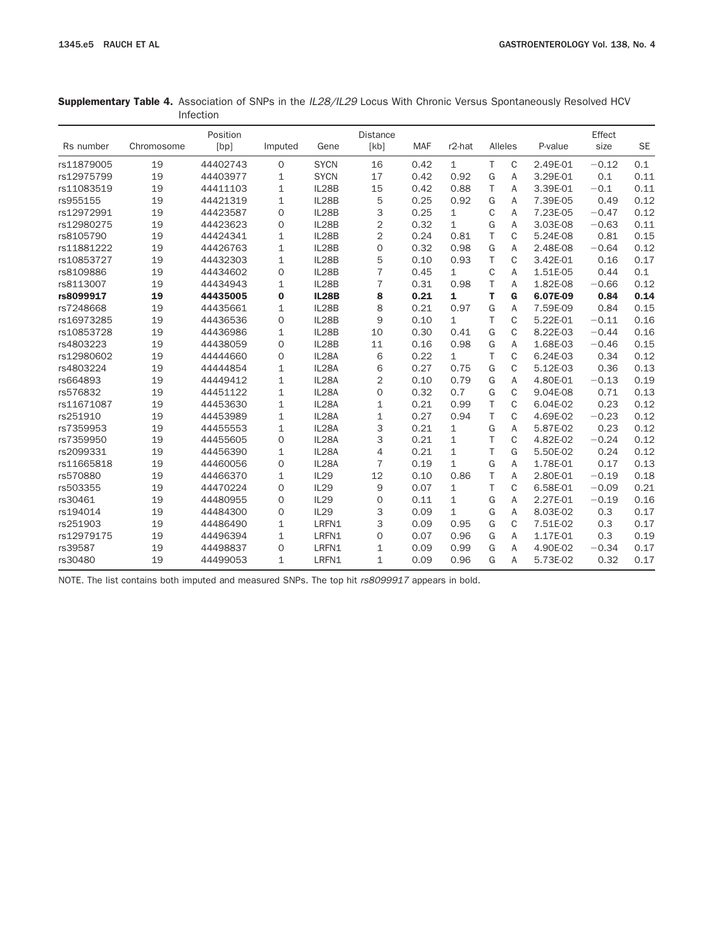|                  | Supplementary Table 4. Association of SNPs in the IL28/IL29 Locus With Chronic Versus Spontaneously Resolved HCV |  |
|------------------|------------------------------------------------------------------------------------------------------------------|--|
| <b>Infection</b> |                                                                                                                  |  |

|            |            | Position |                     |              | <b>Distance</b> |            |                    |    |              |          | Effect  |           |
|------------|------------|----------|---------------------|--------------|-----------------|------------|--------------------|----|--------------|----------|---------|-----------|
| Rs number  | Chromosome | [bp]     | Imputed             | Gene         | [kb]            | <b>MAF</b> | r <sub>2-hat</sub> |    | Alleles      | P-value  | size    | <b>SE</b> |
| rs11879005 | 19         | 44402743 | $\mathsf{O}\xspace$ | <b>SYCN</b>  | 16              | 0.42       | $\mathbf{1}$       | T. | $\mathsf{C}$ | 2.49E-01 | $-0.12$ | 0.1       |
| rs12975799 | 19         | 44403977 | 1                   | <b>SYCN</b>  | 17              | 0.42       | 0.92               | G  | A            | 3.29E-01 | 0.1     | 0.11      |
| rs11083519 | 19         | 44411103 | $\mathbf{1}$        | IL28B        | 15              | 0.42       | 0.88               | T  | A            | 3.39E-01 | $-0.1$  | 0.11      |
| rs955155   | 19         | 44421319 | $\mathbf{1}$        | IL28B        | 5               | 0.25       | 0.92               | G  | A            | 7.39E-05 | 0.49    | 0.12      |
| rs12972991 | 19         | 44423587 | $\mathsf{O}\xspace$ | IL28B        | 3               | 0.25       | $\mathbf{1}$       | C  | A            | 7.23E-05 | $-0.47$ | 0.12      |
| rs12980275 | 19         | 44423623 | $\mathbf 0$         | IL28B        | 2               | 0.32       | $\mathbf{1}$       | G  | A            | 3.03E-08 | $-0.63$ | 0.11      |
| rs8105790  | 19         | 44424341 | $\mathbf{1}$        | IL28B        | 2               | 0.24       | 0.81               | T. | C            | 5.24E-08 | 0.81    | 0.15      |
| rs11881222 | 19         | 44426763 | $\mathbf{1}$        | IL28B        | $\mathbf 0$     | 0.32       | 0.98               | G  | A            | 2.48E-08 | $-0.64$ | 0.12      |
| rs10853727 | 19         | 44432303 | $\mathbf{1}$        | IL28B        | 5               | 0.10       | 0.93               | T. | $\mathbf C$  | 3.42E-01 | 0.16    | 0.17      |
| rs8109886  | 19         | 44434602 | $\overline{0}$      | IL28B        | 7               | 0.45       | $\mathbf{1}$       | C  | A            | 1.51E-05 | 0.44    | 0.1       |
| rs8113007  | 19         | 44434943 | $\mathbf{1}$        | IL28B        | $\overline{7}$  | 0.31       | 0.98               | T. | A            | 1.82E-08 | $-0.66$ | 0.12      |
| rs8099917  | 19         | 44435005 | $\mathbf 0$         | <b>IL28B</b> | 8               | 0.21       | 1                  | т  | G            | 6.07E-09 | 0.84    | 0.14      |
| rs7248668  | 19         | 44435661 | $\mathbf{1}$        | IL28B        | 8               | 0.21       | 0.97               | G  | A            | 7.59E-09 | 0.84    | 0.15      |
| rs16973285 | 19         | 44436536 | $\overline{0}$      | IL28B        | 9               | 0.10       | $\mathbf{1}$       | T. | C            | 5.22E-01 | $-0.11$ | 0.16      |
| rs10853728 | 19         | 44436986 | $\mathbf{1}$        | IL28B        | 10              | 0.30       | 0.41               | G  | $\mathbf C$  | 8.22E-03 | $-0.44$ | 0.16      |
| rs4803223  | 19         | 44438059 | $\overline{0}$      | IL28B        | 11              | 0.16       | 0.98               | G  | A            | 1.68E-03 | $-0.46$ | 0.15      |
| rs12980602 | 19         | 44444660 | $\mathbf{O}$        | IL28A        | 6               | 0.22       | $\mathbf{1}$       | T. | $\mathsf{C}$ | 6.24E-03 | 0.34    | 0.12      |
| rs4803224  | 19         | 44444854 | $\mathbf{1}$        | IL28A        | 6               | 0.27       | 0.75               | G  | $\mathsf{C}$ | 5.12E-03 | 0.36    | 0.13      |
| rs664893   | 19         | 44449412 | $\mathbf 1$         | IL28A        | 2               | 0.10       | 0.79               | G  | A            | 4.80E-01 | $-0.13$ | 0.19      |
| rs576832   | 19         | 44451122 | $\mathbf 1$         | IL28A        | $\mathbf{O}$    | 0.32       | 0.7                | G  | C            | 9.04E-08 | 0.71    | 0.13      |
| rs11671087 | 19         | 44453630 | $1\,$               | IL28A        | 1               | 0.21       | 0.99               | T  | $\mathsf{C}$ | 6.04E-02 | 0.23    | 0.12      |
| rs251910   | 19         | 44453989 | $\mathbf{1}$        | IL28A        | 1               | 0.27       | 0.94               | T  | $\mathbf C$  | 4.69E-02 | $-0.23$ | 0.12      |
| rs7359953  | 19         | 44455553 | $\mathbf 1$         | IL28A        | 3               | 0.21       | 1                  | G  | A            | 5.87E-02 | 0.23    | 0.12      |
| rs7359950  | 19         | 44455605 | $\mathbf{O}$        | IL28A        | 3               | 0.21       | $\mathbf{1}$       | T  | $\mathbf C$  | 4.82E-02 | $-0.24$ | 0.12      |
| rs2099331  | 19         | 44456390 | $\mathbf{1}$        | IL28A        | 4               | 0.21       | $\mathbf{1}$       | T. | G            | 5.50E-02 | 0.24    | 0.12      |
| rs11665818 | 19         | 44460056 | $\mathbf{O}$        | IL28A        | $\overline{7}$  | 0.19       | $\mathbf{1}$       | G  | A            | 1.78E-01 | 0.17    | 0.13      |
| rs570880   | 19         | 44466370 | $\mathbf{1}$        | IL29         | 12              | 0.10       | 0.86               | T  | A            | 2.80E-01 | $-0.19$ | 0.18      |
| rs503355   | 19         | 44470224 | $\overline{0}$      | IL29         | 9               | 0.07       | $\mathbf{1}$       | T  | $\mathbf C$  | 6.58E-01 | $-0.09$ | 0.21      |
| rs30461    | 19         | 44480955 | $\overline{0}$      | IL29         | 0               | 0.11       | $\mathbf{1}$       | G  | A            | 2.27E-01 | $-0.19$ | 0.16      |
| rs194014   | 19         | 44484300 | $\overline{0}$      | IL29         | 3               | 0.09       | $\mathbf{1}$       | G  | A            | 8.03E-02 | 0.3     | 0.17      |
| rs251903   | 19         | 44486490 | $\mathbf{1}$        | LRFN1        | 3               | 0.09       | 0.95               | G  | $\mathbf C$  | 7.51E-02 | 0.3     | 0.17      |
| rs12979175 | 19         | 44496394 | $\mathbf 1$         | LRFN1        | 0               | 0.07       | 0.96               | G  | A            | 1.17E-01 | 0.3     | 0.19      |
| rs39587    | 19         | 44498837 | $\mathbf{O}$        | LRFN1        | 1               | 0.09       | 0.99               | G  | A            | 4.90E-02 | $-0.34$ | 0.17      |
| rs30480    | 19         | 44499053 | 1                   | LRFN1        | 1               | 0.09       | 0.96               | G  | A            | 5.73E-02 | 0.32    | 0.17      |

NOTE. The list contains both imputed and measured SNPs. The top hit *rs8099917* appears in bold.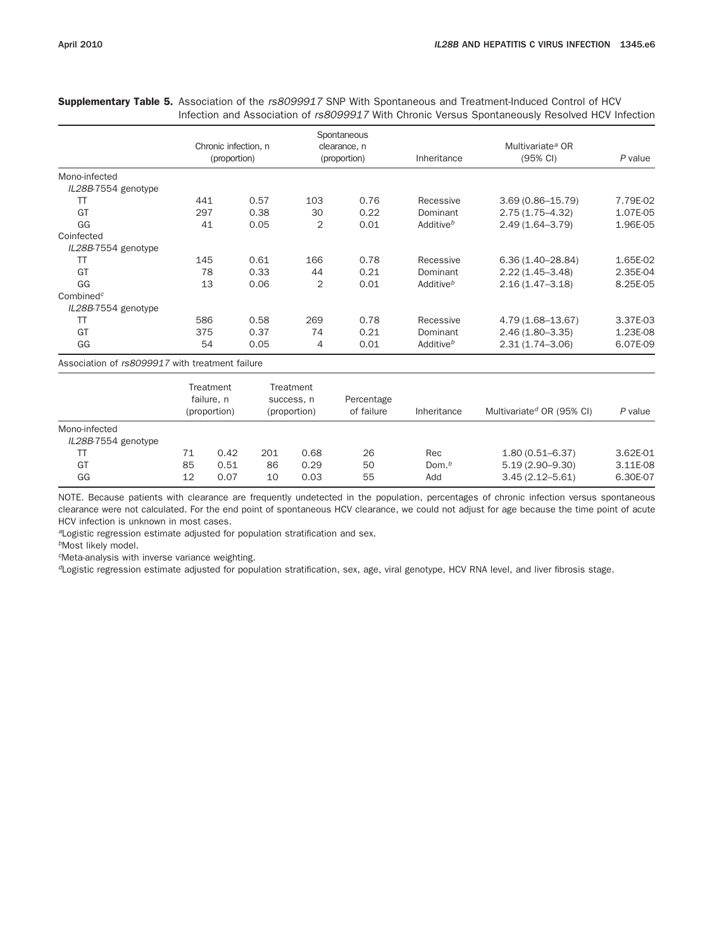Chronic infection, n (proportion) **Spontaneous** clearance, n (proportion) Inheritance Multivariate*<sup>a</sup>* OR (95% CI) *P* value Mono-infected *IL28B*-7554 genotype TT 441 0.57 103 0.76 Recessive 3.69 (0.86–15.79) 7.79E-02 GT 297 0.38 30 0.22 Dominant 2.75 (1.75–4.32) 1.07E-05 GG 41 0.05 2 0.01 Additive*<sup>b</sup>* 2.49 (1.64–3.79) 1.96E-05 Coinfected *IL28B*-7554 genotype TT 145 0.61 166 0.78 Recessive 6.36 (1.40–28.84) 1.65E-02 GT 67 78 0.33 44 0.21 Dominant 2.22 (1.45–3.48) 2.35E-04 GG 13 0.06 2 0.01 Additive*<sup>b</sup>* 2.16 (1.47–3.18) 8.25E-05 Combined*<sup>c</sup> IL28B*-7554 genotype TT 586 0.58 269 0.78 Recessive 4.79 (1.68–13.67) 3.37E-03 GT 375 0.37 74 0.21 Dominant 2.46 (1.80–3.35) 1.23E-08 GG 54 0.05 4 0.01 Additive*<sup>b</sup>* 2.31 (1.74–3.06) 6.07E-09 Association of *rs8099917* with treatment failure **Treatment** failure, n (proportion) **Treatment** success, n (proportion) Percentage of failure Inheritance Multivariate*<sup>d</sup>* OR (95% CI) *P* value Mono-infected *IL28B*-7554 genotype TT 71 0.42 201 0.68 26 Rec 1.80 (0.51–6.37) 3.62E-01 GT 65 85 0.51 86 0.29 50 Dom.<sup>b</sup> 5.19 (2.90–9.30) 3.11E-08

Supplementary Table 5. Association of the *rs8099917* SNP With Spontaneous and Treatment-Induced Control of HCV Infection and Association of *rs8099917* With Chronic Versus Spontaneously Resolved HCV Infection

NOTE. Because patients with clearance are frequently undetected in the population, percentages of chronic infection versus spontaneous clearance were not calculated. For the end point of spontaneous HCV clearance, we could not adjust for age because the time point of acute HCV infection is unknown in most cases.

GG 12 0.07 10 0.03 55 Add 3.45 (2.12–5.61) 6.30E-07

*<sup>a</sup>*Logistic regression estimate adjusted for population stratification and sex.

*<sup>b</sup>*Most likely model.

*<sup>c</sup>*Meta-analysis with inverse variance weighting.

*<sup>d</sup>*Logistic regression estimate adjusted for population stratification, sex, age, viral genotype, HCV RNA level, and liver fibrosis stage.